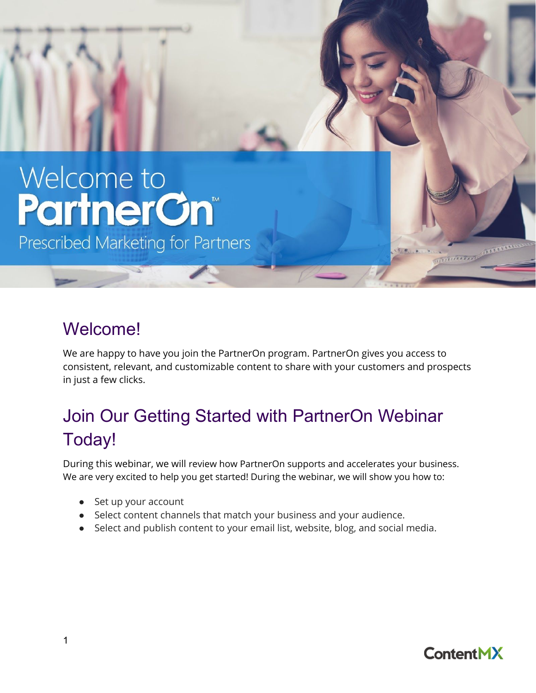# Welcome to **PartnerCn®**

Prescribed Marketing for Partners

## Welcome!

We are happy to have you join the PartnerOn program. PartnerOn gives you access to consistent, relevant, and customizable content to share with your customers and prospects in just a few clicks.

# Join Our Getting Started with PartnerOn Webinar Today!

During this webinar, we will review how PartnerOn supports and accelerates your business. We are very excited to help you get started! During the webinar, we will show you how to:

- Set up your account
- Select content channels that match your business and your audience.
- Select and publish content to your email list, website, blog, and social media.